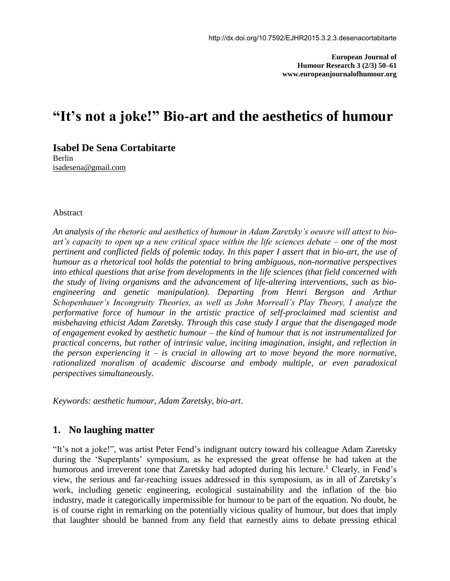**European Journal of Humour Research 3 (2/3) 50–61 www.europeanjournalofhumour.org**

# **"It's not a joke!" Bio-art and the aesthetics of humour**

**Isabel De Sena Cortabitarte** Berlin [isadesena@gmail.com](mailto:isadesena@gmail.com)

### Abstract

*An analysis of the rhetoric and aesthetics of humour in Adam Zaretsky's oeuvre will attest to bioart's capacity to open up a new critical space within the life sciences debate – one of the most pertinent and conflicted fields of polemic today. In this paper I assert that in bio-art, the use of humour as a rhetorical tool holds the potential to bring ambiguous, non-normative perspectives into ethical questions that arise from developments in the life sciences (that field concerned with the study of living organisms and the advancement of life-altering interventions, such as bioengineering and genetic manipulation). Departing from Henri Bergson and Arthur Schopenhauer's Incongruity Theories, as well as John Morreall's Play Theory, I analyze the performative force of humour in the artistic practice of self-proclaimed mad scientist and misbehaving ethicist Adam Zaretsky. Through this case study I argue that the disengaged mode of engagement evoked by aesthetic humour – the kind of humour that is not instrumentalized for practical concerns, but rather of intrinsic value, inciting imagination, insight, and reflection in the person experiencing it – is crucial in allowing art to move beyond the more normative, rationalized moralism of academic discourse and embody multiple, or even paradoxical perspectives simultaneously.*

*Keywords: aesthetic humour, Adam Zaretsky, bio-art*.

### **1. No laughing matter**

"It's not a joke!", was artist Peter Fend's indignant outcry toward his colleague Adam Zaretsky during the 'Superplants' symposium, as he expressed the great offense he had taken at the humorous and irreverent tone that Zaretsky had adopted during his lecture.<sup>1</sup> Clearly, in Fend's view, the serious and far-reaching issues addressed in this symposium, as in all of Zaretsky's work, including genetic engineering, ecological sustainability and the inflation of the bio industry, made it categorically impermissible for humour to be part of the equation. No doubt, he is of course right in remarking on the potentially vicious quality of humour, but does that imply that laughter should be banned from any field that earnestly aims to debate pressing ethical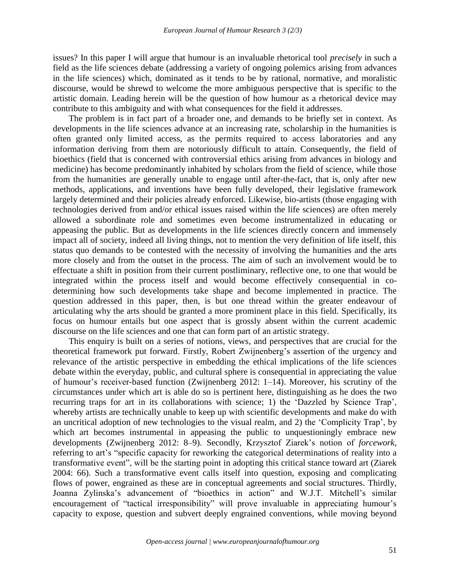issues? In this paper I will argue that humour is an invaluable rhetorical tool *precisely* in such a field as the life sciences debate (addressing a variety of ongoing polemics arising from advances in the life sciences) which, dominated as it tends to be by rational, normative, and moralistic discourse, would be shrewd to welcome the more ambiguous perspective that is specific to the artistic domain. Leading herein will be the question of how humour as a rhetorical device may contribute to this ambiguity and with what consequences for the field it addresses.

The problem is in fact part of a broader one, and demands to be briefly set in context. As developments in the life sciences advance at an increasing rate, scholarship in the humanities is often granted only limited access, as the permits required to access laboratories and any information deriving from them are notoriously difficult to attain. Consequently, the field of bioethics (field that is concerned with controversial ethics arising from advances in biology and medicine) has become predominantly inhabited by scholars from the field of science, while those from the humanities are generally unable to engage until after-the-fact, that is, only after new methods, applications, and inventions have been fully developed, their legislative framework largely determined and their policies already enforced. Likewise, bio-artists (those engaging with technologies derived from and/or ethical issues raised within the life sciences) are often merely allowed a subordinate role and sometimes even become instrumentalized in educating or appeasing the public. But as developments in the life sciences directly concern and immensely impact all of society, indeed all living things, not to mention the very definition of life itself, this status quo demands to be contested with the necessity of involving the humanities and the arts more closely and from the outset in the process. The aim of such an involvement would be to effectuate a shift in position from their current postliminary, reflective one, to one that would be integrated within the process itself and would become effectively consequential in codetermining how such developments take shape and become implemented in practice. The question addressed in this paper, then, is but one thread within the greater endeavour of articulating why the arts should be granted a more prominent place in this field. Specifically, its focus on humour entails but one aspect that is grossly absent within the current academic discourse on the life sciences and one that can form part of an artistic strategy.

This enquiry is built on a series of notions, views, and perspectives that are crucial for the theoretical framework put forward. Firstly, Robert Zwijnenberg's assertion of the urgency and relevance of the artistic perspective in embedding the ethical implications of the life sciences debate within the everyday, public, and cultural sphere is consequential in appreciating the value of humour's receiver-based function (Zwijnenberg 2012: 1–14). Moreover, his scrutiny of the circumstances under which art is able do so is pertinent here, distinguishing as he does the two recurring traps for art in its collaborations with science; 1) the 'Dazzled by Science Trap', whereby artists are technically unable to keep up with scientific developments and make do with an uncritical adoption of new technologies to the visual realm, and 2) the 'Complicity Trap', by which art becomes instrumental in appeasing the public to unquestioningly embrace new developments (Zwijnenberg 2012: 8–9). Secondly, Krzysztof Ziarek's notion of *forcework*, referring to art's "specific capacity for reworking the categorical determinations of reality into a transformative event", will be the starting point in adopting this critical stance toward art (Ziarek 2004: 66). Such a transformative event calls itself into question, exposing and complicating flows of power, engrained as these are in conceptual agreements and social structures. Thirdly, Joanna Zylinska's advancement of "bioethics in action" and W.J.T. Mitchell's similar encouragement of "tactical irresponsibility" will prove invaluable in appreciating humour's capacity to expose, question and subvert deeply engrained conventions, while moving beyond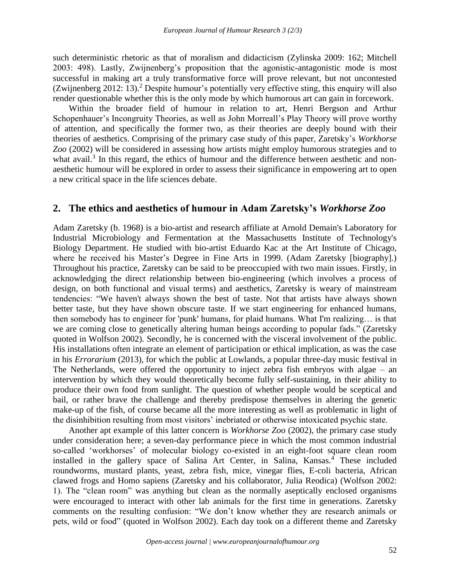such deterministic rhetoric as that of moralism and didacticism (Zylinska 2009: 162; Mitchell 2003: 498). Lastly, Zwijnenberg's proposition that the agonistic-antagonistic mode is most successful in making art a truly transformative force will prove relevant, but not uncontested (Zwijnenberg 2012: 13).<sup>2</sup> Despite humour's potentially very effective sting, this enquiry will also render questionable whether this is the only mode by which humorous art can gain in forcework.

Within the broader field of humour in relation to art, Henri Bergson and Arthur Schopenhauer's Incongruity Theories, as well as John Morreall's Play Theory will prove worthy of attention, and specifically the former two, as their theories are deeply bound with their theories of aesthetics. Comprising of the primary case study of this paper, Zaretsky's *Workhorse Zoo* (2002) will be considered in assessing how artists might employ humorous strategies and to what avail.<sup>3</sup> In this regard, the ethics of humour and the difference between aesthetic and nonaesthetic humour will be explored in order to assess their significance in empowering art to open a new critical space in the life sciences debate.

## **2. The ethics and aesthetics of humour in Adam Zaretsky's** *Workhorse Zoo*

Adam Zaretsky (b. 1968) is a bio-artist and research affiliate at Arnold Demain's Laboratory for Industrial Microbiology and Fermentation at the Massachusetts Institute of Technology's Biology Department. He studied with bio-artist Eduardo Kac at the Art Institute of Chicago, where he received his Master's Degree in Fine Arts in 1999. (Adam Zaretsky [biography].) Throughout his practice, Zaretsky can be said to be preoccupied with two main issues. Firstly, in acknowledging the direct relationship between bio-engineering (which involves a process of design, on both functional and visual terms) and aesthetics, Zaretsky is weary of mainstream tendencies: "We haven't always shown the best of taste. Not that artists have always shown better taste, but they have shown obscure taste. If we start engineering for enhanced humans, then somebody has to engineer for 'punk' humans, for plaid humans. What I'm realizing… is that we are coming close to genetically altering human beings according to popular fads." (Zaretsky quoted in Wolfson 2002). Secondly, he is concerned with the visceral involvement of the public. His installations often integrate an element of participation or ethical implication, as was the case in his *Errorarium* (2013), for which the public at Lowlands, a popular three-day music festival in The Netherlands, were offered the opportunity to inject zebra fish embryos with algae – an intervention by which they would theoretically become fully self-sustaining, in their ability to produce their own food from sunlight. The question of whether people would be sceptical and bail, or rather brave the challenge and thereby predispose themselves in altering the genetic make-up of the fish, of course became all the more interesting as well as problematic in light of the disinhibition resulting from most visitors' inebriated or otherwise intoxicated psychic state.

Another apt example of this latter concern is *Workhorse Zoo* (2002), the primary case study under consideration here; a seven-day performance piece in which the most common industrial so-called 'workhorses' of molecular biology co-existed in an eight-foot square clean room installed in the gallery space of Salina Art Center, in Salina, Kansas.<sup>4</sup> These included roundworms, mustard plants, yeast, zebra fish, mice, vinegar flies, E-coli bacteria, African clawed frogs and Homo sapiens (Zaretsky and his collaborator, Julia Reodica) (Wolfson 2002: 1). The "clean room" was anything but clean as the normally aseptically enclosed organisms were encouraged to interact with other lab animals for the first time in generations. Zaretsky comments on the resulting confusion: "We don't know whether they are research animals or pets, wild or food" (quoted in Wolfson 2002). Each day took on a different theme and Zaretsky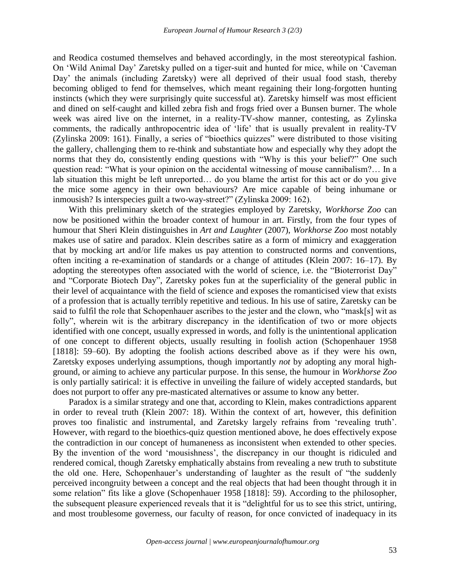and Reodica costumed themselves and behaved accordingly, in the most stereotypical fashion. On 'Wild Animal Day' Zaretsky pulled on a tiger-suit and hunted for mice, while on 'Caveman Day' the animals (including Zaretsky) were all deprived of their usual food stash, thereby becoming obliged to fend for themselves, which meant regaining their long-forgotten hunting instincts (which they were surprisingly quite successful at). Zaretsky himself was most efficient and dined on self-caught and killed zebra fish and frogs fried over a Bunsen burner. The whole week was aired live on the internet, in a reality-TV-show manner, contesting, as Zylinska comments, the radically anthropocentric idea of 'life' that is usually prevalent in reality-TV (Zylinska 2009: 161). Finally, a series of "bioethics quizzes" were distributed to those visiting the gallery, challenging them to re-think and substantiate how and especially why they adopt the norms that they do, consistently ending questions with "Why is this your belief?" One such question read: "What is your opinion on the accidental witnessing of mouse cannibalism?… In a lab situation this might be left unreported… do you blame the artist for this act or do you give the mice some agency in their own behaviours? Are mice capable of being inhumane or inmousish? Is interspecies guilt a two-way-street?" (Zylinska 2009: 162).

With this preliminary sketch of the strategies employed by Zaretsky, *Workhorse Zoo* can now be positioned within the broader context of humour in art. Firstly, from the four types of humour that Sheri Klein distinguishes in *Art and Laughter* (2007), *Workhorse Zoo* most notably makes use of satire and paradox. Klein describes satire as a form of mimicry and exaggeration that by mocking art and/or life makes us pay attention to constructed norms and conventions, often inciting a re-examination of standards or a change of attitudes (Klein 2007: 16–17). By adopting the stereotypes often associated with the world of science, i.e. the "Bioterrorist Day" and "Corporate Biotech Day", Zaretsky pokes fun at the superficiality of the general public in their level of acquaintance with the field of science and exposes the romanticised view that exists of a profession that is actually terribly repetitive and tedious. In his use of satire, Zaretsky can be said to fulfil the role that Schopenhauer ascribes to the jester and the clown, who "mask[s] wit as folly", wherein wit is the arbitrary discrepancy in the identification of two or more objects identified with one concept, usually expressed in words, and folly is the unintentional application of one concept to different objects, usually resulting in foolish action (Schopenhauer 1958 [1818]: 59–60). By adopting the foolish actions described above as if they were his own, Zaretsky exposes underlying assumptions, though importantly *not* by adopting any moral highground, or aiming to achieve any particular purpose. In this sense, the humour in *Workhorse Zoo* is only partially satirical: it is effective in unveiling the failure of widely accepted standards, but does not purport to offer any pre-masticated alternatives or assume to know any better.

Paradox is a similar strategy and one that, according to Klein, makes contradictions apparent in order to reveal truth (Klein 2007: 18). Within the context of art, however, this definition proves too finalistic and instrumental, and Zaretsky largely refrains from 'revealing truth'. However, with regard to the bioethics-quiz question mentioned above, he does effectively expose the contradiction in our concept of humaneness as inconsistent when extended to other species. By the invention of the word 'mousishness', the discrepancy in our thought is ridiculed and rendered comical, though Zaretsky emphatically abstains from revealing a new truth to substitute the old one. Here, Schopenhauer's understanding of laughter as the result of "the suddenly perceived incongruity between a concept and the real objects that had been thought through it in some relation" fits like a glove (Schopenhauer 1958 [1818]: 59). According to the philosopher, the subsequent pleasure experienced reveals that it is "delightful for us to see this strict, untiring, and most troublesome governess, our faculty of reason, for once convicted of inadequacy in its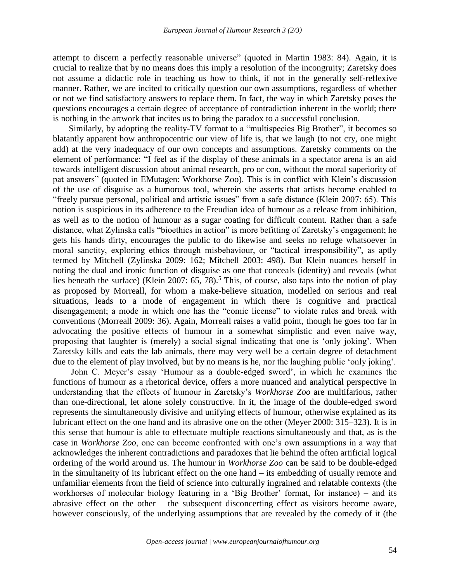attempt to discern a perfectly reasonable universe" (quoted in Martin 1983: 84). Again, it is crucial to realize that by no means does this imply a resolution of the incongruity; Zaretsky does not assume a didactic role in teaching us how to think, if not in the generally self-reflexive manner. Rather, we are incited to critically question our own assumptions, regardless of whether or not we find satisfactory answers to replace them. In fact, the way in which Zaretsky poses the questions encourages a certain degree of acceptance of contradiction inherent in the world; there is nothing in the artwork that incites us to bring the paradox to a successful conclusion.

Similarly, by adopting the reality-TV format to a "multispecies Big Brother", it becomes so blatantly apparent how anthropocentric our view of life is, that we laugh (to not cry, one might add) at the very inadequacy of our own concepts and assumptions. Zaretsky comments on the element of performance: "I feel as if the display of these animals in a spectator arena is an aid towards intelligent discussion about animal research, pro or con, without the moral superiority of pat answers" (quoted in EMutagen: Workhorse Zoo). This is in conflict with Klein's discussion of the use of disguise as a humorous tool, wherein she asserts that artists become enabled to "freely pursue personal, political and artistic issues" from a safe distance (Klein 2007: 65). This notion is suspicious in its adherence to the Freudian idea of humour as a release from inhibition, as well as to the notion of humour as a sugar coating for difficult content. Rather than a safe distance, what Zylinska calls "bioethics in action" is more befitting of Zaretsky's engagement; he gets his hands dirty, encourages the public to do likewise and seeks no refuge whatsoever in moral sanctity, exploring ethics through misbehaviour, or "tactical irresponsibility", as aptly termed by Mitchell (Zylinska 2009: 162; Mitchell 2003: 498). But Klein nuances herself in noting the dual and ironic function of disguise as one that conceals (identity) and reveals (what lies beneath the surface) (Klein 2007:  $65, 78$ ).<sup>5</sup> This, of course, also taps into the notion of play as proposed by Morreall, for whom a make-believe situation, modelled on serious and real situations, leads to a mode of engagement in which there is cognitive and practical disengagement; a mode in which one has the "comic license" to violate rules and break with conventions (Morreall 2009: 36). Again, Morreall raises a valid point, though he goes too far in advocating the positive effects of humour in a somewhat simplistic and even naive way, proposing that laughter is (merely) a social signal indicating that one is 'only joking'. When Zaretsky kills and eats the lab animals, there may very well be a certain degree of detachment due to the element of play involved, but by no means is he, nor the laughing public 'only joking'.

John C. Meyer's essay 'Humour as a double-edged sword', in which he examines the functions of humour as a rhetorical device, offers a more nuanced and analytical perspective in understanding that the effects of humour in Zaretsky's *Workhorse Zoo* are multifarious, rather than one-directional, let alone solely constructive. In it, the image of the double-edged sword represents the simultaneously divisive and unifying effects of humour, otherwise explained as its lubricant effect on the one hand and its abrasive one on the other (Meyer 2000: 315–323). It is in this sense that humour is able to effectuate multiple reactions simultaneously and that, as is the case in *Workhorse Zoo*, one can become confronted with one's own assumptions in a way that acknowledges the inherent contradictions and paradoxes that lie behind the often artificial logical ordering of the world around us. The humour in *Workhorse Zoo* can be said to be double-edged in the simultaneity of its lubricant effect on the one hand – its embedding of usually remote and unfamiliar elements from the field of science into culturally ingrained and relatable contexts (the workhorses of molecular biology featuring in a 'Big Brother' format, for instance) – and its abrasive effect on the other – the subsequent disconcerting effect as visitors become aware, however consciously, of the underlying assumptions that are revealed by the comedy of it (the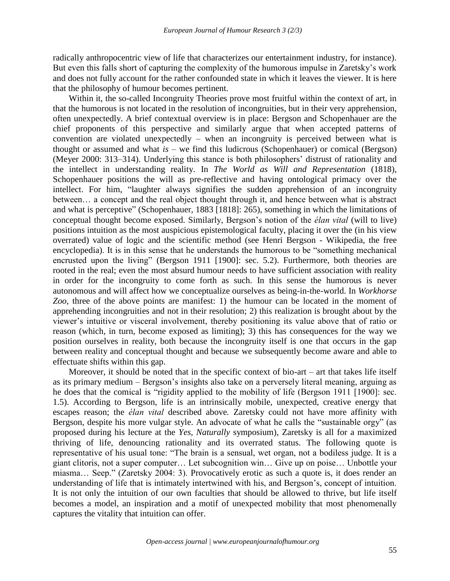radically anthropocentric view of life that characterizes our entertainment industry, for instance). But even this falls short of capturing the complexity of the humorous impulse in Zaretsky's work and does not fully account for the rather confounded state in which it leaves the viewer. It is here that the philosophy of humour becomes pertinent.

Within it, the so-called Incongruity Theories prove most fruitful within the context of art, in that the humorous is not located in the resolution of incongruities, but in their very apprehension, often unexpectedly. A brief contextual overview is in place: Bergson and Schopenhauer are the chief proponents of this perspective and similarly argue that when accepted patterns of convention are violated unexpectedly – when an incongruity is perceived between what is thought or assumed and what *is* – we find this ludicrous (Schopenhauer) or comical (Bergson) (Meyer 2000: 313–314). Underlying this stance is both philosophers' distrust of rationality and the intellect in understanding reality. In *The World as Will and Representation* (1818), Schopenhauer positions the will as pre-reflective and having ontological primacy over the intellect. For him, "laughter always signifies the sudden apprehension of an incongruity between… a concept and the real object thought through it, and hence between what is abstract and what is perceptive" (Schopenhauer, 1883 [1818]: 265), something in which the limitations of conceptual thought become exposed. Similarly, Bergson's notion of the *élan vital* (will to live) positions intuition as the most auspicious epistemological faculty, placing it over the (in his view overrated) value of logic and the scientific method (see Henri Bergson - Wikipedia, the free encyclopedia). It is in this sense that he understands the humorous to be "something mechanical encrusted upon the living" (Bergson 1911 [1900]: sec. 5.2). Furthermore, both theories are rooted in the real; even the most absurd humour needs to have sufficient association with reality in order for the incongruity to come forth as such. In this sense the humorous is never autonomous and will affect how we conceptualize ourselves as being-in-the-world. In *Workhorse Zoo*, three of the above points are manifest: 1) the humour can be located in the moment of apprehending incongruities and not in their resolution; 2) this realization is brought about by the viewer's intuitive or visceral involvement, thereby positioning its value above that of ratio or reason (which, in turn, become exposed as limiting); 3) this has consequences for the way we position ourselves in reality, both because the incongruity itself is one that occurs in the gap between reality and conceptual thought and because we subsequently become aware and able to effectuate shifts within this gap.

Moreover, it should be noted that in the specific context of bio-art – art that takes life itself as its primary medium – Bergson's insights also take on a perversely literal meaning, arguing as he does that the comical is "rigidity applied to the mobility of life (Bergson 1911 [1900]: sec. 1.5). According to Bergson, life is an intrinsically mobile, unexpected, creative energy that escapes reason; the *élan vital* described above*.* Zaretsky could not have more affinity with Bergson, despite his more vulgar style. An advocate of what he calls the "sustainable orgy" (as proposed during his lecture at the *Yes, Naturally* symposium), Zaretsky is all for a maximized thriving of life, denouncing rationality and its overrated status. The following quote is representative of his usual tone: "The brain is a sensual, wet organ, not a bodiless judge. It is a giant clitoris, not a super computer… Let subcognition win… Give up on poise… Unbottle your miasma… Seep." (Zaretsky 2004: 3). Provocatively erotic as such a quote is, it does render an understanding of life that is intimately intertwined with his, and Bergson's, concept of intuition. It is not only the intuition of our own faculties that should be allowed to thrive, but life itself becomes a model, an inspiration and a motif of unexpected mobility that most phenomenally captures the vitality that intuition can offer.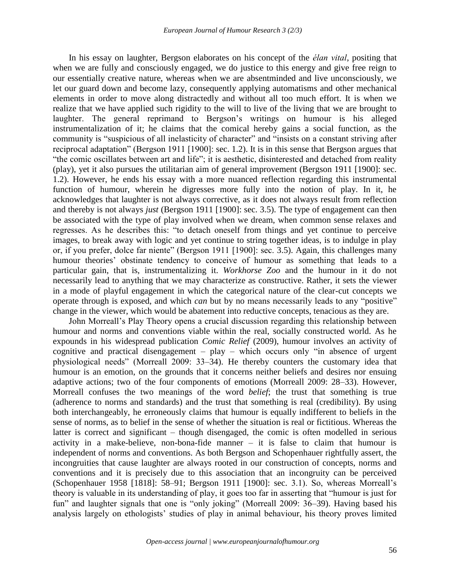In his essay on laughter, Bergson elaborates on his concept of the *élan vital*, positing that when we are fully and consciously engaged, we do justice to this energy and give free reign to our essentially creative nature, whereas when we are absentminded and live unconsciously, we let our guard down and become lazy, consequently applying automatisms and other mechanical elements in order to move along distractedly and without all too much effort. It is when we realize that we have applied such rigidity to the will to live of the living that we are brought to laughter. The general reprimand to Bergson's writings on humour is his alleged instrumentalization of it; he claims that the comical hereby gains a social function, as the community is "suspicious of all inelasticity of character" and "insists on a constant striving after reciprocal adaptation" (Bergson 1911 [1900]: sec. 1.2). It is in this sense that Bergson argues that "the comic oscillates between art and life"; it is aesthetic, disinterested and detached from reality (play), yet it also pursues the utilitarian aim of general improvement (Bergson 1911 [1900]: sec. 1.2). However, he ends his essay with a more nuanced reflection regarding this instrumental function of humour, wherein he digresses more fully into the notion of play. In it, he acknowledges that laughter is not always corrective, as it does not always result from reflection and thereby is not always *just* (Bergson 1911 [1900]: sec. 3.5). The type of engagement can then be associated with the type of play involved when we dream, when common sense relaxes and regresses. As he describes this: "to detach oneself from things and yet continue to perceive images, to break away with logic and yet continue to string together ideas, is to indulge in play or, if you prefer, dolce far niente" (Bergson 1911 [1900]: sec. 3.5). Again, this challenges many humour theories' obstinate tendency to conceive of humour as something that leads to a particular gain, that is, instrumentalizing it. *Workhorse Zoo* and the humour in it do not necessarily lead to anything that we may characterize as constructive. Rather, it sets the viewer in a mode of playful engagement in which the categorical nature of the clear-cut concepts we operate through is exposed, and which *can* but by no means necessarily leads to any "positive" change in the viewer, which would be abatement into reductive concepts, tenacious as they are.

John Morreall's Play Theory opens a crucial discussion regarding this relationship between humour and norms and conventions viable within the real, socially constructed world. As he expounds in his widespread publication *Comic Relief* (2009), humour involves an activity of cognitive and practical disengagement – play – which occurs only "in absence of urgent physiological needs" (Morreall 2009: 33–34). He thereby counters the customary idea that humour is an emotion, on the grounds that it concerns neither beliefs and desires nor ensuing adaptive actions; two of the four components of emotions (Morreall 2009: 28–33). However, Morreall confuses the two meanings of the word *belief*; the trust that something is true (adherence to norms and standards) and the trust that something is real (credibility). By using both interchangeably, he erroneously claims that humour is equally indifferent to beliefs in the sense of norms, as to belief in the sense of whether the situation is real or fictitious. Whereas the latter is correct and significant – though disengaged, the comic is often modelled in serious activity in a make-believe, non-bona-fide manner – it is false to claim that humour is independent of norms and conventions. As both Bergson and Schopenhauer rightfully assert, the incongruities that cause laughter are always rooted in our construction of concepts, norms and conventions and it is precisely due to this association that an incongruity can be perceived (Schopenhauer 1958 [1818]: 58–91; Bergson 1911 [1900]: sec. 3.1). So, whereas Morreall's theory is valuable in its understanding of play, it goes too far in asserting that "humour is just for fun" and laughter signals that one is "only joking" (Morreall 2009: 36–39). Having based his analysis largely on ethologists' studies of play in animal behaviour, his theory proves limited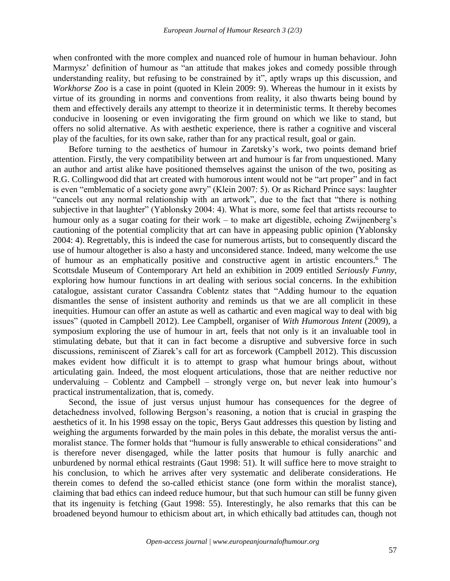when confronted with the more complex and nuanced role of humour in human behaviour. John Marmysz' definition of humour as "an attitude that makes jokes and comedy possible through understanding reality, but refusing to be constrained by it", aptly wraps up this discussion, and *Workhorse Zoo* is a case in point (quoted in Klein 2009: 9). Whereas the humour in it exists by virtue of its grounding in norms and conventions from reality, it also thwarts being bound by them and effectively derails any attempt to theorize it in deterministic terms. It thereby becomes conducive in loosening or even invigorating the firm ground on which we like to stand, but offers no solid alternative. As with aesthetic experience, there is rather a cognitive and visceral play of the faculties, for its own sake, rather than for any practical result, goal or gain.

Before turning to the aesthetics of humour in Zaretsky's work, two points demand brief attention. Firstly, the very compatibility between art and humour is far from unquestioned. Many an author and artist alike have positioned themselves against the unison of the two, positing as R.G. Collingwood did that art created with humorous intent would not be "art proper" and in fact is even "emblematic of a society gone awry" (Klein 2007: 5). Or as Richard Prince says: laughter "cancels out any normal relationship with an artwork", due to the fact that "there is nothing subjective in that laughter" (Yablonsky 2004: 4). What is more, some feel that artists recourse to humour only as a sugar coating for their work – to make art digestible, echoing Zwijnenberg's cautioning of the potential complicity that art can have in appeasing public opinion (Yablonsky 2004: 4). Regrettably, this is indeed the case for numerous artists, but to consequently discard the use of humour altogether is also a hasty and unconsidered stance. Indeed, many welcome the use of humour as an emphatically positive and constructive agent in artistic encounters. <sup>6</sup> The Scottsdale Museum of Contemporary Art held an exhibition in 2009 entitled *Seriously Funny*, exploring how humour functions in art dealing with serious social concerns. In the exhibition catalogue, assistant curator Cassandra Coblentz states that "Adding humour to the equation dismantles the sense of insistent authority and reminds us that we are all complicit in these inequities. Humour can offer an astute as well as cathartic and even magical way to deal with big issues" (quoted in Campbell 2012). Lee Campbell, organiser of *With Humorous Intent* (2009), a symposium exploring the use of humour in art, feels that not only is it an invaluable tool in stimulating debate, but that it can in fact become a disruptive and subversive force in such discussions, reminiscent of Ziarek's call for art as forcework (Campbell 2012). This discussion makes evident how difficult it is to attempt to grasp what humour brings about, without articulating gain. Indeed, the most eloquent articulations, those that are neither reductive nor undervaluing – Coblentz and Campbell – strongly verge on, but never leak into humour's practical instrumentalization, that is, comedy.

Second, the issue of just versus unjust humour has consequences for the degree of detachedness involved, following Bergson's reasoning, a notion that is crucial in grasping the aesthetics of it. In his 1998 essay on the topic, Berys Gaut addresses this question by listing and weighing the arguments forwarded by the main poles in this debate, the moralist versus the antimoralist stance. The former holds that "humour is fully answerable to ethical considerations" and is therefore never disengaged, while the latter posits that humour is fully anarchic and unburdened by normal ethical restraints (Gaut 1998: 51). It will suffice here to move straight to his conclusion, to which he arrives after very systematic and deliberate considerations. He therein comes to defend the so-called ethicist stance (one form within the moralist stance), claiming that bad ethics can indeed reduce humour, but that such humour can still be funny given that its ingenuity is fetching (Gaut 1998: 55). Interestingly, he also remarks that this can be broadened beyond humour to ethicism about art, in which ethically bad attitudes can, though not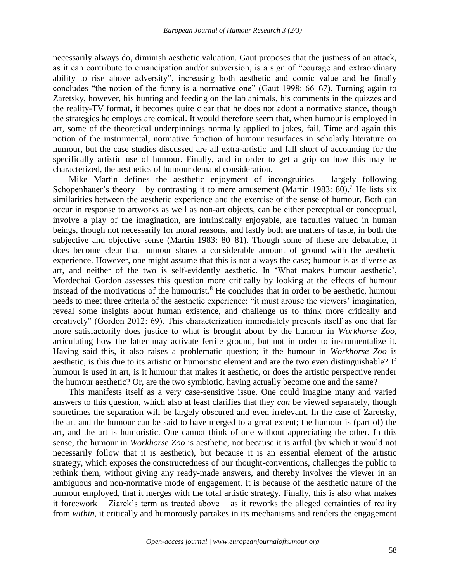necessarily always do, diminish aesthetic valuation. Gaut proposes that the justness of an attack, as it can contribute to emancipation and/or subversion, is a sign of "courage and extraordinary ability to rise above adversity", increasing both aesthetic and comic value and he finally concludes "the notion of the funny is a normative one" (Gaut 1998: 66–67). Turning again to Zaretsky, however, his hunting and feeding on the lab animals, his comments in the quizzes and the reality-TV format, it becomes quite clear that he does not adopt a normative stance, though the strategies he employs are comical. It would therefore seem that, when humour is employed in art, some of the theoretical underpinnings normally applied to jokes, fail. Time and again this notion of the instrumental, normative function of humour resurfaces in scholarly literature on humour, but the case studies discussed are all extra-artistic and fall short of accounting for the specifically artistic use of humour. Finally, and in order to get a grip on how this may be characterized, the aesthetics of humour demand consideration.

Mike Martin defines the aesthetic enjoyment of incongruities – largely following Schopenhauer's theory – by contrasting it to mere amusement (Martin 1983: 80).<sup>7</sup> He lists six similarities between the aesthetic experience and the exercise of the sense of humour. Both can occur in response to artworks as well as non-art objects, can be either perceptual or conceptual, involve a play of the imagination, are intrinsically enjoyable, are faculties valued in human beings, though not necessarily for moral reasons, and lastly both are matters of taste, in both the subjective and objective sense (Martin 1983: 80–81). Though some of these are debatable, it does become clear that humour shares a considerable amount of ground with the aesthetic experience. However, one might assume that this is not always the case; humour is as diverse as art, and neither of the two is self-evidently aesthetic. In 'What makes humour aesthetic', Mordechai Gordon assesses this question more critically by looking at the effects of humour instead of the motivations of the humourist. <sup>8</sup> He concludes that in order to be aesthetic, humour needs to meet three criteria of the aesthetic experience: "it must arouse the viewers' imagination, reveal some insights about human existence, and challenge us to think more critically and creatively" (Gordon 2012: 69). This characterization immediately presents itself as one that far more satisfactorily does justice to what is brought about by the humour in *Workhorse Zoo*, articulating how the latter may activate fertile ground, but not in order to instrumentalize it. Having said this, it also raises a problematic question; if the humour in *Workhorse Zoo* is aesthetic, is this due to its artistic or humoristic element and are the two even distinguishable? If humour is used in art, is it humour that makes it aesthetic, or does the artistic perspective render the humour aesthetic? Or, are the two symbiotic, having actually become one and the same?

This manifests itself as a very case-sensitive issue. One could imagine many and varied answers to this question, which also at least clarifies that they *can* be viewed separately, though sometimes the separation will be largely obscured and even irrelevant. In the case of Zaretsky, the art and the humour can be said to have merged to a great extent; the humour is (part of) the art, and the art is humoristic. One cannot think of one without appreciating the other. In this sense, the humour in *Workhorse Zoo* is aesthetic, not because it is artful (by which it would not necessarily follow that it is aesthetic), but because it is an essential element of the artistic strategy, which exposes the constructedness of our thought-conventions, challenges the public to rethink them, without giving any ready-made answers, and thereby involves the viewer in an ambiguous and non-normative mode of engagement. It is because of the aesthetic nature of the humour employed, that it merges with the total artistic strategy. Finally, this is also what makes it forcework – Ziarek's term as treated above – as it reworks the alleged certainties of reality from *within*, it critically and humorously partakes in its mechanisms and renders the engagement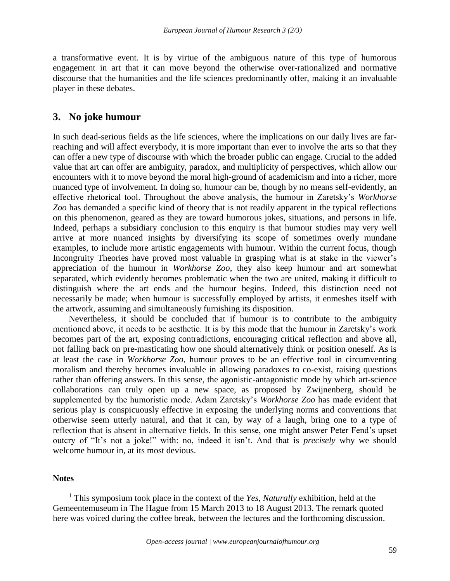a transformative event. It is by virtue of the ambiguous nature of this type of humorous engagement in art that it can move beyond the otherwise over-rationalized and normative discourse that the humanities and the life sciences predominantly offer, making it an invaluable player in these debates.

### **3. No joke humour**

In such dead-serious fields as the life sciences, where the implications on our daily lives are farreaching and will affect everybody, it is more important than ever to involve the arts so that they can offer a new type of discourse with which the broader public can engage. Crucial to the added value that art can offer are ambiguity, paradox, and multiplicity of perspectives, which allow our encounters with it to move beyond the moral high-ground of academicism and into a richer, more nuanced type of involvement. In doing so, humour can be, though by no means self-evidently, an effective rhetorical tool. Throughout the above analysis, the humour in Zaretsky's *Workhorse Zoo* has demanded a specific kind of theory that is not readily apparent in the typical reflections on this phenomenon, geared as they are toward humorous jokes, situations, and persons in life. Indeed, perhaps a subsidiary conclusion to this enquiry is that humour studies may very well arrive at more nuanced insights by diversifying its scope of sometimes overly mundane examples, to include more artistic engagements with humour. Within the current focus, though Incongruity Theories have proved most valuable in grasping what is at stake in the viewer's appreciation of the humour in *Workhorse Zoo*, they also keep humour and art somewhat separated, which evidently becomes problematic when the two are united, making it difficult to distinguish where the art ends and the humour begins. Indeed, this distinction need not necessarily be made; when humour is successfully employed by artists, it enmeshes itself with the artwork, assuming and simultaneously furnishing its disposition.

Nevertheless, it should be concluded that if humour is to contribute to the ambiguity mentioned above, it needs to be aesthetic. It is by this mode that the humour in Zaretsky's work becomes part of the art, exposing contradictions, encouraging critical reflection and above all, not falling back on pre-masticating how one should alternatively think or position oneself. As is at least the case in *Workhorse Zoo*, humour proves to be an effective tool in circumventing moralism and thereby becomes invaluable in allowing paradoxes to co-exist, raising questions rather than offering answers. In this sense, the agonistic-antagonistic mode by which art-science collaborations can truly open up a new space, as proposed by Zwijnenberg, should be supplemented by the humoristic mode. Adam Zaretsky's *Workhorse Zoo* has made evident that serious play is conspicuously effective in exposing the underlying norms and conventions that otherwise seem utterly natural, and that it can, by way of a laugh, bring one to a type of reflection that is absent in alternative fields. In this sense, one might answer Peter Fend's upset outcry of "It's not a joke!" with: no, indeed it isn't. And that is *precisely* why we should welcome humour in, at its most devious.

#### **Notes**

<sup>1</sup> This symposium took place in the context of the *Yes, Naturally* exhibition, held at the Gemeentemuseum in The Hague from 15 March 2013 to 18 August 2013. The remark quoted here was voiced during the coffee break, between the lectures and the forthcoming discussion.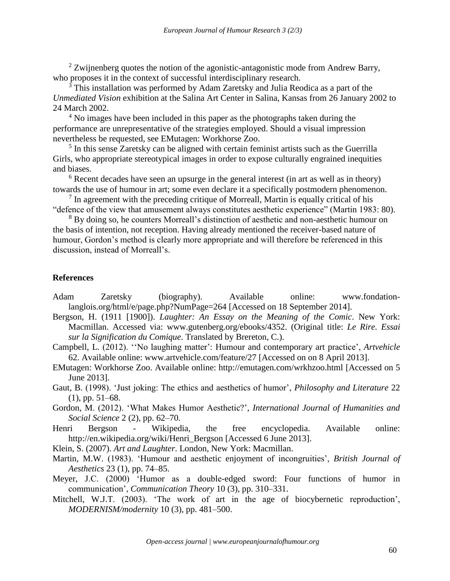$2$  Zwijnenberg quotes the notion of the agonistic-antagonistic mode from Andrew Barry, who proposes it in the context of successful interdisciplinary research.

<sup>3</sup> This installation was performed by Adam Zaretsky and Julia Reodica as a part of the *Unmediated Vision* exhibition at the Salina Art Center in Salina, Kansas from 26 January 2002 to 24 March 2002.

<sup>4</sup> No images have been included in this paper as the photographs taken during the performance are unrepresentative of the strategies employed. Should a visual impression nevertheless be requested, see EMutagen: Workhorse Zoo.

<sup>5</sup> In this sense Zaretsky can be aligned with certain feminist artists such as the Guerrilla Girls, who appropriate stereotypical images in order to expose culturally engrained inequities and biases.

<sup>6</sup> Recent decades have seen an upsurge in the general interest (in art as well as in theory) towards the use of humour in art; some even declare it a specifically postmodern phenomenon.

 $<sup>7</sup>$  In agreement with the preceding critique of Morreall, Martin is equally critical of his</sup> "defence of the view that amusement always constitutes aesthetic experience" (Martin 1983: 80).

<sup>8</sup> By doing so, he counters Morreall's distinction of aesthetic and non-aesthetic humour on the basis of intention, not reception. Having already mentioned the receiver-based nature of humour, Gordon's method is clearly more appropriate and will therefore be referenced in this discussion, instead of Morreall's.

### **References**

- Adam Zaretsky (biography). Available online: [www.fondation](http://www.fondation-langlois.org/html/e/page.php?NumPage=264)[langlois.org/html/e/page.php?NumPage=264](http://www.fondation-langlois.org/html/e/page.php?NumPage=264) [Accessed on 18 September 2014].
- Bergson, H. (1911 [1900]). *Laughter: An Essay on the Meaning of the Comic*. New York: Macmillan. Accessed via: [www.gutenberg.org/ebooks/4352.](http://www.gutenberg.org/ebooks/4352) (Original title: *Le Rire. Essai sur la Signification du Comique*. Translated by Brereton, C.).
- Campbell, L. (2012). ''No laughing matter': Humour and contemporary art practice', *Artvehicle* 62. Available online: [www.artvehicle.com/feature/27](http://www.artvehicle.com/feature/27) [Accessed on on 8 April 2013].
- EMutagen: Workhorse Zoo. Available online: http://emutagen.com/wrkhzoo.html [Accessed on 5 June 2013].
- Gaut, B. (1998). 'Just joking: The ethics and aesthetics of humor', *Philosophy and Literature* 22 (1), pp. 51–68.
- Gordon, M. (2012). 'What Makes Humor Aesthetic?', *International Journal of Humanities and Social Science* 2 (2), pp. 62–70.
- Henri Bergson Wikipedia, the free encyclopedia. Available online: http://en.wikipedia.org/wiki/Henri\_Bergson [Accessed 6 June 2013].
- Klein, S. (2007). *Art and Laughter*. London, New York: Macmillan.
- Martin, M.W. (1983). 'Humour and aesthetic enjoyment of incongruities', *British Journal of Aesthetics* 23 (1), pp. 74–85.
- Meyer, J.C. (2000) 'Humor as a double-edged sword: Four functions of humor in communication', *Communication Theory* 10 (3), pp. 310–331.
- Mitchell, W.J.T. (2003). 'The work of art in the age of biocybernetic reproduction', *MODERNISM/modernity* 10 (3), pp. 481–500.